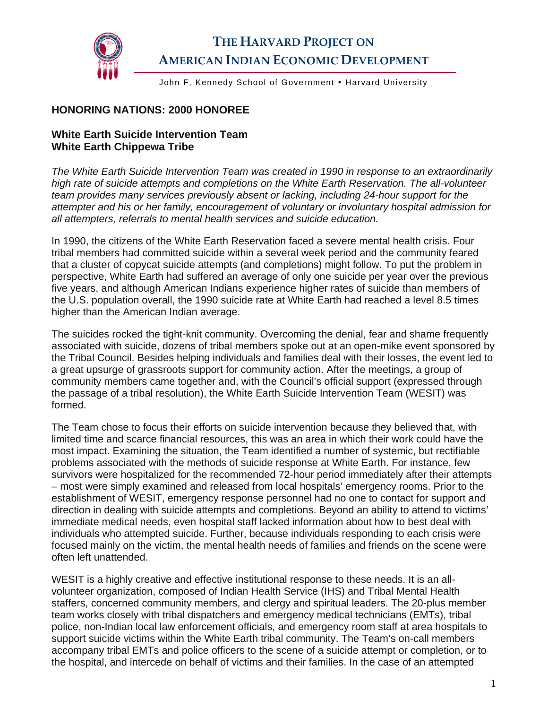

John F. Kennedy School of Government . Harvard University

## **HONORING NATIONS: 2000 HONOREE**

## **White Earth Suicide Intervention Team White Earth Chippewa Tribe**

*The White Earth Suicide Intervention Team was created in 1990 in response to an extraordinarily high rate of suicide attempts and completions on the White Earth Reservation. The all-volunteer team provides many services previously absent or lacking, including 24-hour support for the attempter and his or her family, encouragement of voluntary or involuntary hospital admission for all attempters, referrals to mental health services and suicide education.* 

In 1990, the citizens of the White Earth Reservation faced a severe mental health crisis. Four tribal members had committed suicide within a several week period and the community feared that a cluster of copycat suicide attempts (and completions) might follow. To put the problem in perspective, White Earth had suffered an average of only one suicide per year over the previous five years, and although American Indians experience higher rates of suicide than members of the U.S. population overall, the 1990 suicide rate at White Earth had reached a level 8.5 times higher than the American Indian average.

The suicides rocked the tight-knit community. Overcoming the denial, fear and shame frequently associated with suicide, dozens of tribal members spoke out at an open-mike event sponsored by the Tribal Council. Besides helping individuals and families deal with their losses, the event led to a great upsurge of grassroots support for community action. After the meetings, a group of community members came together and, with the Council's official support (expressed through the passage of a tribal resolution), the White Earth Suicide Intervention Team (WESIT) was formed.

The Team chose to focus their efforts on suicide intervention because they believed that, with limited time and scarce financial resources, this was an area in which their work could have the most impact. Examining the situation, the Team identified a number of systemic, but rectifiable problems associated with the methods of suicide response at White Earth. For instance, few survivors were hospitalized for the recommended 72-hour period immediately after their attempts – most were simply examined and released from local hospitals' emergency rooms. Prior to the establishment of WESIT, emergency response personnel had no one to contact for support and direction in dealing with suicide attempts and completions. Beyond an ability to attend to victims' immediate medical needs, even hospital staff lacked information about how to best deal with individuals who attempted suicide. Further, because individuals responding to each crisis were focused mainly on the victim, the mental health needs of families and friends on the scene were often left unattended.

WESIT is a highly creative and effective institutional response to these needs. It is an allvolunteer organization, composed of Indian Health Service (IHS) and Tribal Mental Health staffers, concerned community members, and clergy and spiritual leaders. The 20-plus member team works closely with tribal dispatchers and emergency medical technicians (EMTs), tribal police, non-Indian local law enforcement officials, and emergency room staff at area hospitals to support suicide victims within the White Earth tribal community. The Team's on-call members accompany tribal EMTs and police officers to the scene of a suicide attempt or completion, or to the hospital, and intercede on behalf of victims and their families. In the case of an attempted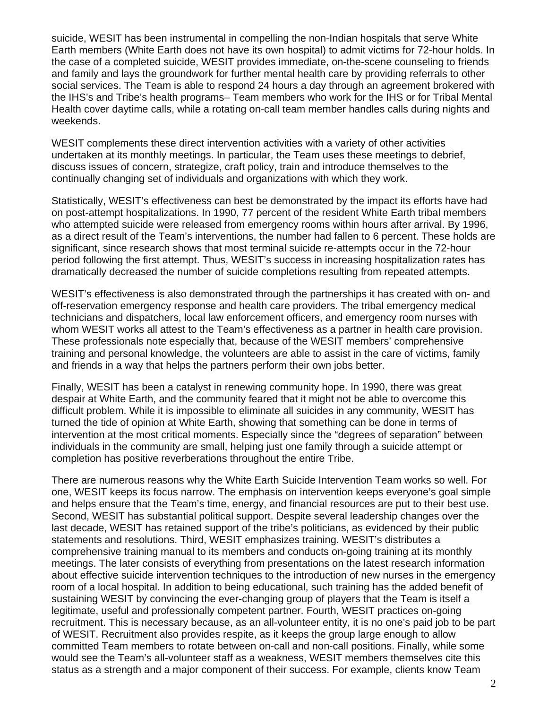suicide, WESIT has been instrumental in compelling the non-Indian hospitals that serve White Earth members (White Earth does not have its own hospital) to admit victims for 72-hour holds. In the case of a completed suicide, WESIT provides immediate, on-the-scene counseling to friends and family and lays the groundwork for further mental health care by providing referrals to other social services. The Team is able to respond 24 hours a day through an agreement brokered with the IHS's and Tribe's health programs– Team members who work for the IHS or for Tribal Mental Health cover daytime calls, while a rotating on-call team member handles calls during nights and weekends.

WESIT complements these direct intervention activities with a variety of other activities undertaken at its monthly meetings. In particular, the Team uses these meetings to debrief, discuss issues of concern, strategize, craft policy, train and introduce themselves to the continually changing set of individuals and organizations with which they work.

Statistically, WESIT's effectiveness can best be demonstrated by the impact its efforts have had on post-attempt hospitalizations. In 1990, 77 percent of the resident White Earth tribal members who attempted suicide were released from emergency rooms within hours after arrival. By 1996, as a direct result of the Team's interventions, the number had fallen to 6 percent. These holds are significant, since research shows that most terminal suicide re-attempts occur in the 72-hour period following the first attempt. Thus, WESIT's success in increasing hospitalization rates has dramatically decreased the number of suicide completions resulting from repeated attempts.

WESIT's effectiveness is also demonstrated through the partnerships it has created with on- and off-reservation emergency response and health care providers. The tribal emergency medical technicians and dispatchers, local law enforcement officers, and emergency room nurses with whom WESIT works all attest to the Team's effectiveness as a partner in health care provision. These professionals note especially that, because of the WESIT members' comprehensive training and personal knowledge, the volunteers are able to assist in the care of victims, family and friends in a way that helps the partners perform their own jobs better.

Finally, WESIT has been a catalyst in renewing community hope. In 1990, there was great despair at White Earth, and the community feared that it might not be able to overcome this difficult problem. While it is impossible to eliminate all suicides in any community, WESIT has turned the tide of opinion at White Earth, showing that something can be done in terms of intervention at the most critical moments. Especially since the "degrees of separation" between individuals in the community are small, helping just one family through a suicide attempt or completion has positive reverberations throughout the entire Tribe.

There are numerous reasons why the White Earth Suicide Intervention Team works so well. For one, WESIT keeps its focus narrow. The emphasis on intervention keeps everyone's goal simple and helps ensure that the Team's time, energy, and financial resources are put to their best use. Second, WESIT has substantial political support. Despite several leadership changes over the last decade, WESIT has retained support of the tribe's politicians, as evidenced by their public statements and resolutions. Third, WESIT emphasizes training. WESIT's distributes a comprehensive training manual to its members and conducts on-going training at its monthly meetings. The later consists of everything from presentations on the latest research information about effective suicide intervention techniques to the introduction of new nurses in the emergency room of a local hospital. In addition to being educational, such training has the added benefit of sustaining WESIT by convincing the ever-changing group of players that the Team is itself a legitimate, useful and professionally competent partner. Fourth, WESIT practices on-going recruitment. This is necessary because, as an all-volunteer entity, it is no one's paid job to be part of WESIT. Recruitment also provides respite, as it keeps the group large enough to allow committed Team members to rotate between on-call and non-call positions. Finally, while some would see the Team's all-volunteer staff as a weakness, WESIT members themselves cite this status as a strength and a major component of their success. For example, clients know Team